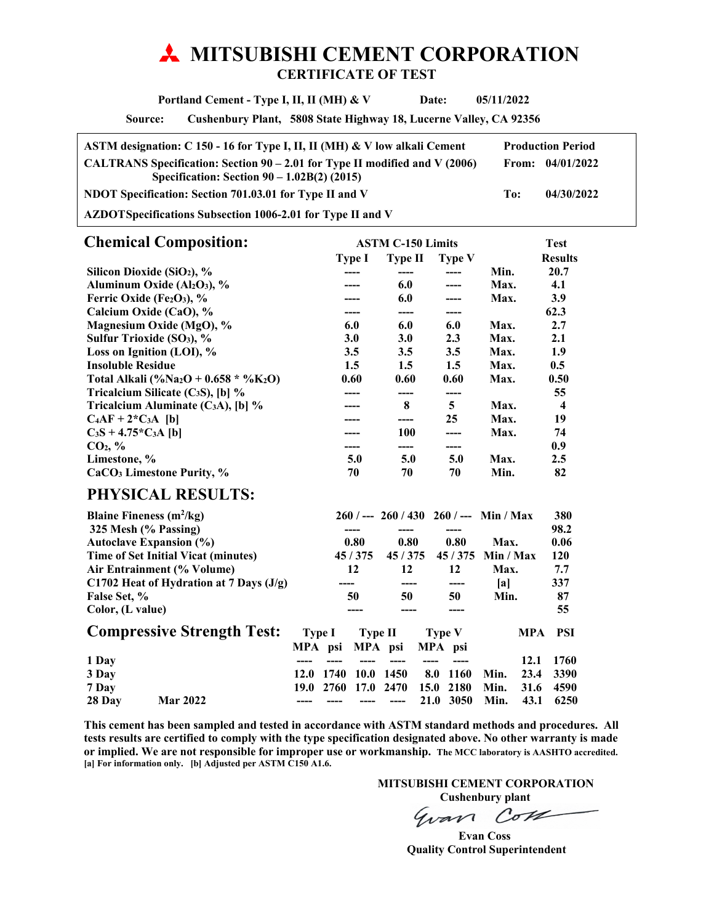# **MITSUBISHI CEMENT CORPORATION CERTIFICATE OF TEST**

 **Portland Cement - Type I, II, II (MH) & V Date: 05/11/2022** 

**Source: Cushenbury Plant, 5808 State Highway 18, Lucerne Valley, CA 92356** 

| ASTM designation: C 150 - 16 for Type I, II, II (MH) & V low alkali Cement                                                     |     | <b>Production Period</b> |
|--------------------------------------------------------------------------------------------------------------------------------|-----|--------------------------|
| CALTRANS Specification: Section $90 - 2.01$ for Type II modified and V (2006)<br>Specification: Section $90 - 1.02B(2)$ (2015) |     | From: $04/01/2022$       |
| NDOT Specification: Section 701.03.01 for Type II and V                                                                        | To: | 04/30/2022               |
|                                                                                                                                |     |                          |

**AZDOT Specifications Subsection 1006-2.01 for Type II and V** 

| <b>Chemical Composition:</b>                                  |            | <b>ASTM C-150 Limits</b> |               |      |                  |
|---------------------------------------------------------------|------------|--------------------------|---------------|------|------------------|
|                                                               | Type I     | <b>Type II</b>           | <b>Type V</b> |      | <b>Results</b>   |
| Silicon Dioxide (SiO <sub>2</sub> ), %                        |            |                          |               | Min. | 20.7             |
| Aluminum Oxide (Al2O3), %                                     |            | 6.0                      | ----          | Max. | 4.1              |
| Ferric Oxide (Fe2O3), $%$                                     |            | 6.0                      |               | Max. | 3.9              |
| Calcium Oxide (CaO), %                                        |            | ----                     | ----          |      | 62.3             |
| Magnesium Oxide (MgO), %                                      | 6.0        | 6.0                      | 6.0           | Max. | 2.7              |
| Sulfur Trioxide (SO <sub>3</sub> ), %                         | <b>3.0</b> | <b>3.0</b>               | 2.3           | Max. | 2.1              |
| Loss on Ignition (LOI), $\%$                                  | 3.5        | 3.5                      | 3.5           | Max. | 1.9              |
| <b>Insoluble Residue</b>                                      | $1.5\,$    | $1.5\,$                  | $1.5\,$       | Max. | 0.5              |
| Total Alkali (%Na <sub>2</sub> O + 0.658 * %K <sub>2</sub> O) | 0.60       | 0.60                     | 0.60          | Max. | 0.50             |
| Tricalcium Silicate $(C_3S)$ , [b] %                          |            | ----                     | ----          |      | 55               |
| Tricalcium Aluminate (C <sub>3</sub> A), [b] $\%$             | ----       | 8                        | 5             | Max. | $\boldsymbol{4}$ |
| $C_4AF + 2*C_3A$ [b]                                          |            | ----                     | 25            | Max. | 19               |
| $C_3S + 4.75*C_3A$ [b]                                        |            | 100                      | ----          | Max. | 74               |
| CO <sub>2</sub> , %                                           |            |                          | ----          |      | 0.9              |
| Limestone, %                                                  | 5.0        | 5.0                      | 5.0           | Max. | $2.5\,$          |
| CaCO <sub>3</sub> Limestone Purity, %                         | 70         | 70                       | 70            | Min. | 82               |
| PHYSICAL RESULTS:                                             |            |                          |               |      |                  |

| Blaine Fineness $(m^2/kg)$ |                                            |        |      |         |         |      | $260$ / --- $260$ / 430 $260$ / --- Min / Max |           |            | 380   |
|----------------------------|--------------------------------------------|--------|------|---------|---------|------|-----------------------------------------------|-----------|------------|-------|
| 325 Mesh (% Passing)       |                                            |        |      |         |         |      | ----                                          |           |            | 98.2  |
|                            | <b>Autoclave Expansion (%)</b>             |        |      | 0.80    | 0.80    |      | 0.80                                          | Max.      |            | 0.06  |
|                            | <b>Time of Set Initial Vicat (minutes)</b> |        |      | 45/375  | 45/375  |      | 45/375                                        | Min / Max |            | 120   |
|                            | Air Entrainment (% Volume)                 |        |      | 12      | 12      |      | 12                                            | Max.      |            | 7.7   |
|                            | C1702 Heat of Hydration at 7 Days $(J/g)$  |        |      |         |         |      | ----                                          | lal       |            | 337   |
| False Set, %               |                                            |        |      | 50      | 50      |      | 50                                            | Min.      |            | 87    |
| Color, (L value)           |                                            |        |      |         |         |      |                                               |           |            | 55    |
|                            | <b>Compressive Strength Test:</b>          | Type I |      | Type II |         |      | <b>Type V</b>                                 |           | <b>MPA</b> | - PSI |
|                            |                                            | MPA    | psi  |         | MPA psi |      | MPA psi                                       |           |            |       |
| 1 Day                      |                                            |        |      |         |         |      |                                               |           | 12.1       | 1760  |
| 3 Day                      |                                            | 12.0   | 1740 | 10.0    | 1450    | 8.0  | 1160                                          | Min.      | 23.4       | 3390  |
| 7 Day                      |                                            | 19.0   | 2760 | 17.0    | 2470    | 15.0 | 2180                                          | Min.      | 31.6       | 4590  |
| 28 Day                     | <b>Mar 2022</b>                            |        |      |         |         | 21.0 | 3050                                          | Min.      | 43.1       | 6250  |

**This cement has been sampled and tested in accordance with ASTM standard methods and procedures. All tests results are certified to comply with the type specification designated above. No other warranty is made or implied. We are not responsible for improper use or workmanship. The MCC laboratory is AASHTO accredited. [a] For information only. [b] Adjusted per ASTM C150 A1.6.** 

 **MITSUBISHI CEMENT CORPORATION** 

**Cushenbury plant**<br> *CoVI* Gvan

 **Evan Coss Quality Control Superintendent**